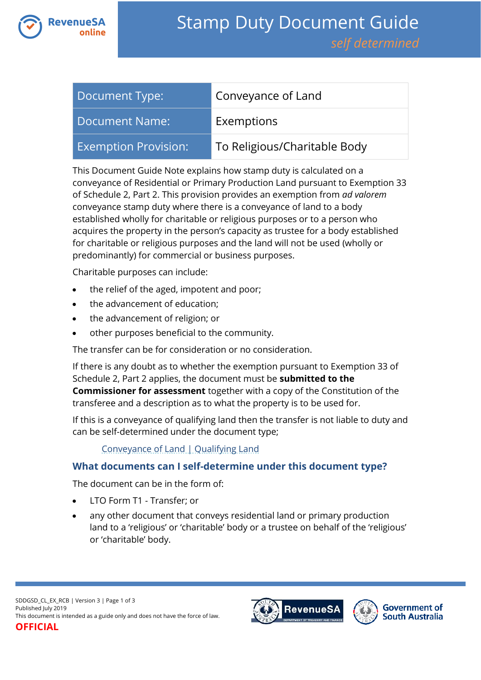

| Document Type:              | Conveyance of Land           |
|-----------------------------|------------------------------|
| Document Name:              | Exemptions                   |
| <b>Exemption Provision:</b> | To Religious/Charitable Body |

This Document Guide Note explains how stamp duty is calculated on a conveyance of Residential or Primary Production Land pursuant to Exemption 33 of Schedule 2, Part 2. This provision provides an exemption from *ad valorem*  conveyance stamp duty where there is a conveyance of land to a body established wholly for charitable or religious purposes or to a person who acquires the property in the person's capacity as trustee for a body established for charitable or religious purposes and the land will not be used (wholly or predominantly) for commercial or business purposes.

Charitable purposes can include:

- the relief of the aged, impotent and poor;
- the advancement of education;
- the advancement of religion; or
- other purposes beneficial to the community.

The transfer can be for consideration or no consideration.

If there is any doubt as to whether the exemption pursuant to Exemption 33 of Schedule 2, Part 2 applies, the document must be **submitted to the Commissioner for assessment** together with a copy of the Constitution of the transferee and a description as to what the property is to be used for.

If this is a conveyance of qualifying land then the transfer is not liable to duty and can be self-determined under the document type;

### [Conveyance of Land | Qualifying Land](https://www.revenuesa.sa.gov.au/stampduty/stamp-duty-document-guide/self-determined/conveyance-of-land/sddgsd_cl_ql)

## **What documents can I self-determine under this document type?**

The document can be in the form of:

- LTO Form T1 Transfer; or
- any other document that conveys residential land or primary production land to a 'religious' or 'charitable' body or a trustee on behalf of the 'religious' or 'charitable' body.



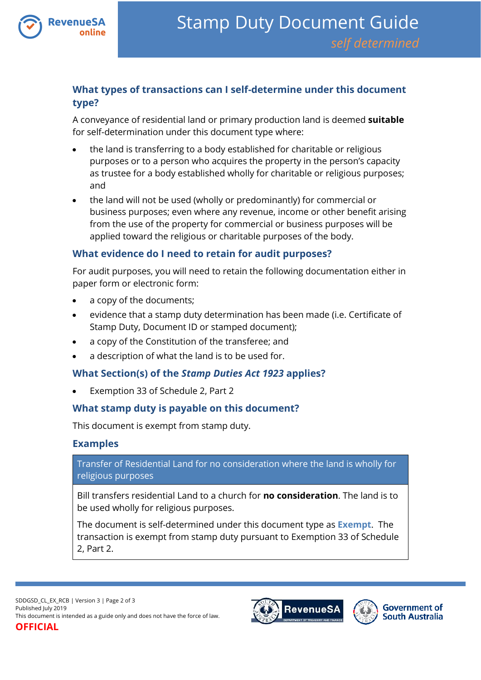

# **What types of transactions can I self-determine under this document type?**

A conveyance of residential land or primary production land is deemed **suitable**  for self-determination under this document type where:

- the land is transferring to a body established for charitable or religious purposes or to a person who acquires the property in the person's capacity as trustee for a body established wholly for charitable or religious purposes; and
- the land will not be used (wholly or predominantly) for commercial or business purposes; even where any revenue, income or other benefit arising from the use of the property for commercial or business purposes will be applied toward the religious or charitable purposes of the body.

## **What evidence do I need to retain for audit purposes?**

For audit purposes, you will need to retain the following documentation either in paper form or electronic form:

- a copy of the documents;
- evidence that a stamp duty determination has been made (i.e. Certificate of Stamp Duty, Document ID or stamped document);
- a copy of the Constitution of the transferee; and
- a description of what the land is to be used for.

## **What Section(s) of the** *Stamp Duties Act 1923* **applies?**

Exemption 33 of Schedule 2, Part 2

### **What stamp duty is payable on this document?**

This document is exempt from stamp duty.

### **Examples**

Transfer of Residential Land for no consideration where the land is wholly for religious purposes

Bill transfers residential Land to a church for **no consideration**. The land is to be used wholly for religious purposes.

The document is self-determined under this document type as **Exempt**. The transaction is exempt from stamp duty pursuant to Exemption 33 of Schedule 2, Part 2.